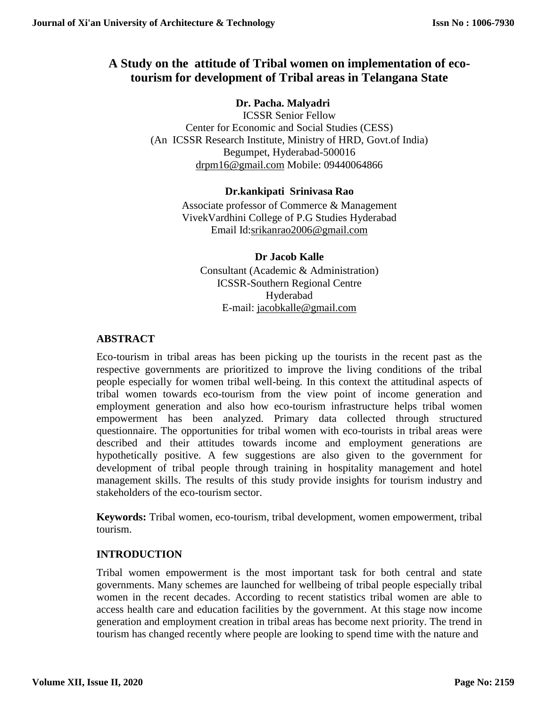# **A Study on the attitude of Tribal women on implementation of ecotourism for development of Tribal areas in Telangana State**

# **Dr. Pacha. Malyadri**

ICSSR Senior Fellow Center for Economic and Social Studies (CESS) (An ICSSR Research Institute, Ministry of HRD, Govt.of India) Begumpet, Hyderabad-500016 [drpm16@gmail.com](mailto:drpm16@gmail.com) Mobile: 09440064866

### **Dr.kankipati Srinivasa Rao**

Associate professor of Commerce & Management VivekVardhini College of P.G Studies Hyderabad Email Id[:srikanrao2006@gmail.com](mailto:srikanrao2006@gmail.com)

### **Dr Jacob Kalle**

Consultant (Academic & Administration) ICSSR-Southern Regional Centre Hyderabad E-mail: [jacobkalle@gmail.com](mailto:jacobkalle@gmail.com)

# **ABSTRACT**

Eco-tourism in tribal areas has been picking up the tourists in the recent past as the respective governments are prioritized to improve the living conditions of the tribal people especially for women tribal well-being. In this context the attitudinal aspects of tribal women towards eco-tourism from the view point of income generation and employment generation and also how eco-tourism infrastructure helps tribal women empowerment has been analyzed. Primary data collected through structured questionnaire. The opportunities for tribal women with eco-tourists in tribal areas were described and their attitudes towards income and employment generations are hypothetically positive. A few suggestions are also given to the government for development of tribal people through training in hospitality management and hotel management skills. The results of this study provide insights for tourism industry and stakeholders of the eco-tourism sector.

**Keywords:** Tribal women, eco-tourism, tribal development, women empowerment, tribal tourism.

# **INTRODUCTION**

Tribal women empowerment is the most important task for both central and state governments. Many schemes are launched for wellbeing of tribal people especially tribal women in the recent decades. According to recent statistics tribal women are able to access health care and education facilities by the government. At this stage now income generation and employment creation in tribal areas has become next priority. The trend in tourism has changed recently where people are looking to spend time with the nature and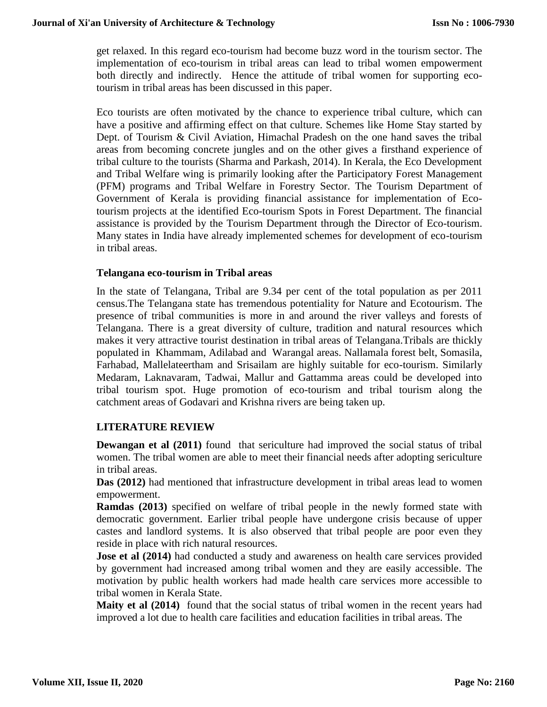get relaxed. In this regard eco-tourism had become buzz word in the tourism sector. The implementation of eco-tourism in tribal areas can lead to tribal women empowerment both directly and indirectly. Hence the attitude of tribal women for supporting ecotourism in tribal areas has been discussed in this paper.

Eco tourists are often motivated by the chance to experience tribal culture, which can have a positive and affirming effect on that culture. Schemes like Home Stay started by Dept. of Tourism & Civil Aviation, Himachal Pradesh on the one hand saves the tribal areas from becoming concrete jungles and on the other gives a firsthand experience of tribal culture to the tourists (Sharma and Parkash, 2014). In Kerala, the Eco Development and Tribal Welfare wing is primarily looking after the Participatory Forest Management (PFM) programs and Tribal Welfare in Forestry Sector. The Tourism Department of Government of Kerala is providing financial assistance for implementation of Ecotourism projects at the identified Eco-tourism Spots in Forest Department. The financial assistance is provided by the Tourism Department through the Director of Eco-tourism. Many states in India have already implemented schemes for development of eco-tourism in tribal areas.

#### **Telangana eco-tourism in Tribal areas**

In the state of Telangana, Tribal are 9.34 per cent of the total population as per 2011 census.The Telangana state has tremendous potentiality for Nature and Ecotourism. The presence of tribal communities is more in and around the river valleys and forests of Telangana. There is a great diversity of culture, tradition and natural resources which makes it very attractive tourist destination in tribal areas of Telangana.Tribals are thickly populated in Khammam, Adilabad and Warangal areas. Nallamala forest belt, Somasila, Farhabad, Mallelateertham and Srisailam are highly suitable for eco-tourism. Similarly Medaram, Laknavaram, Tadwai, Mallur and Gattamma areas could be developed into tribal tourism spot. Huge promotion of eco-tourism and tribal tourism along the catchment areas of Godavari and Krishna rivers are being taken up.

#### **LITERATURE REVIEW**

**Dewangan et al (2011)** found that sericulture had improved the social status of tribal women. The tribal women are able to meet their financial needs after adopting sericulture in tribal areas.

**Das (2012)** had mentioned that infrastructure development in tribal areas lead to women empowerment.

**Ramdas (2013)** specified on welfare of tribal people in the newly formed state with democratic government. Earlier tribal people have undergone crisis because of upper castes and landlord systems. It is also observed that tribal people are poor even they reside in place with rich natural resources.

**Jose et al (2014)** had conducted a study and awareness on health care services provided by government had increased among tribal women and they are easily accessible. The motivation by public health workers had made health care services more accessible to tribal women in Kerala State.

**Maity et al (2014)** found that the social status of tribal women in the recent years had improved a lot due to health care facilities and education facilities in tribal areas. The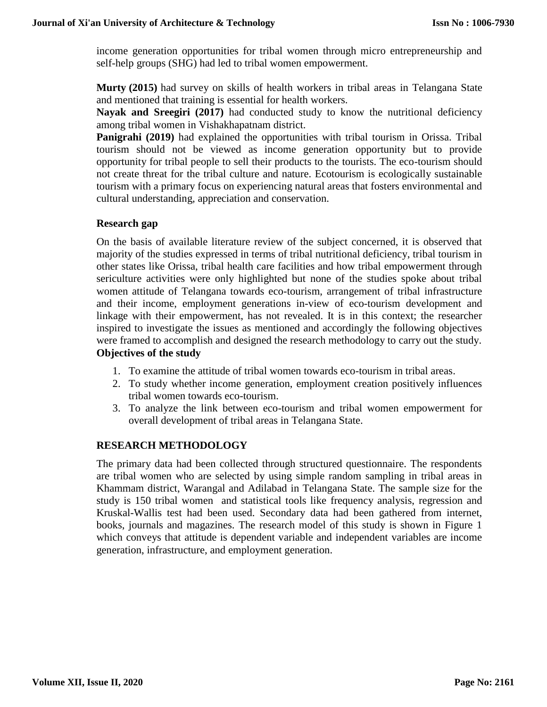income generation opportunities for tribal women through micro entrepreneurship and self-help groups (SHG) had led to tribal women empowerment.

**Murty (2015)** had survey on skills of health workers in tribal areas in Telangana State and mentioned that training is essential for health workers.

**Nayak and Sreegiri (2017)** had conducted study to know the nutritional deficiency among tribal women in Vishakhapatnam district.

**Panigrahi (2019)** had explained the opportunities with tribal tourism in Orissa. Tribal tourism should not be viewed as income generation opportunity but to provide opportunity for tribal people to sell their products to the tourists. The eco-tourism should not create threat for the tribal culture and nature. Ecotourism is ecologically sustainable tourism with a primary focus on experiencing natural areas that fosters environmental and cultural understanding, appreciation and conservation.

#### **Research gap**

On the basis of available literature review of the subject concerned, it is observed that majority of the studies expressed in terms of tribal nutritional deficiency, tribal tourism in other states like Orissa, tribal health care facilities and how tribal empowerment through sericulture activities were only highlighted but none of the studies spoke about tribal women attitude of Telangana towards eco-tourism, arrangement of tribal infrastructure and their income, employment generations in-view of eco-tourism development and linkage with their empowerment, has not revealed. It is in this context; the researcher inspired to investigate the issues as mentioned and accordingly the following objectives were framed to accomplish and designed the research methodology to carry out the study. **Objectives of the study**

- 1. To examine the attitude of tribal women towards eco-tourism in tribal areas.
- 2. To study whether income generation, employment creation positively influences tribal women towards eco-tourism.
- 3. To analyze the link between eco-tourism and tribal women empowerment for overall development of tribal areas in Telangana State.

#### **RESEARCH METHODOLOGY**

The primary data had been collected through structured questionnaire. The respondents are tribal women who are selected by using simple random sampling in tribal areas in Khammam district, Warangal and Adilabad in Telangana State. The sample size for the study is 150 tribal women and statistical tools like frequency analysis, regression and Kruskal-Wallis test had been used. Secondary data had been gathered from internet, books, journals and magazines. The research model of this study is shown in Figure 1 which conveys that attitude is dependent variable and independent variables are income generation, infrastructure, and employment generation.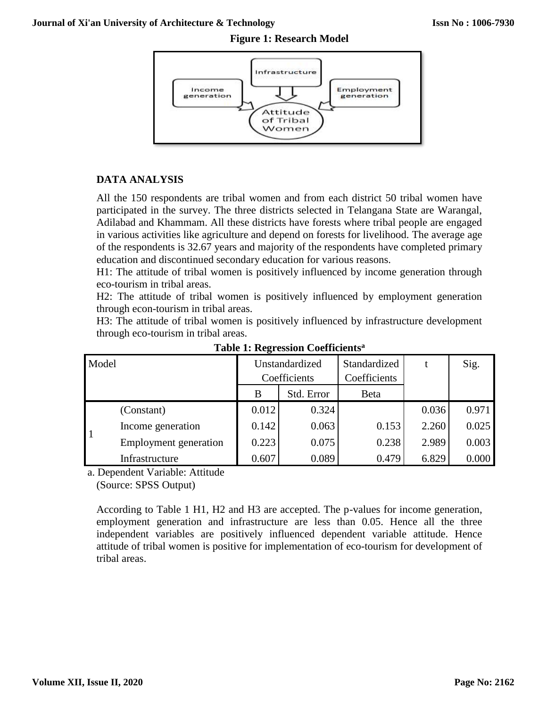

# **DATA ANALYSIS**

All the 150 respondents are tribal women and from each district 50 tribal women have participated in the survey. The three districts selected in Telangana State are Warangal, Adilabad and Khammam. All these districts have forests where tribal people are engaged in various activities like agriculture and depend on forests for livelihood. The average age of the respondents is 32.67 years and majority of the respondents have completed primary education and discontinued secondary education for various reasons.

H1: The attitude of tribal women is positively influenced by income generation through eco-tourism in tribal areas.

H2: The attitude of tribal women is positively influenced by employment generation through econ-tourism in tribal areas.

H3: The attitude of tribal women is positively influenced by infrastructure development through eco-tourism in tribal areas.

| Model |                       | Unstandardized |            | Standardized |       | Sig.  |
|-------|-----------------------|----------------|------------|--------------|-------|-------|
|       |                       | Coefficients   |            | Coefficients |       |       |
|       |                       | B              | Std. Error | <b>B</b> eta |       |       |
|       | (Constant)            | 0.012          | 0.324      |              | 0.036 | 0.971 |
|       | Income generation     | 0.142          | 0.063      | 0.153        | 2.260 | 0.025 |
|       | Employment generation | 0.223          | 0.075      | 0.238        | 2.989 | 0.003 |
|       | Infrastructure        | 0.607          | 0.089      | 0.479        | 6.829 | 0.000 |

**Table 1: Regression Coefficients<sup>a</sup>**

a. Dependent Variable: Attitude (Source: SPSS Output)

According to Table 1 H1, H2 and H3 are accepted. The p-values for income generation, employment generation and infrastructure are less than 0.05. Hence all the three independent variables are positively influenced dependent variable attitude. Hence attitude of tribal women is positive for implementation of eco-tourism for development of tribal areas.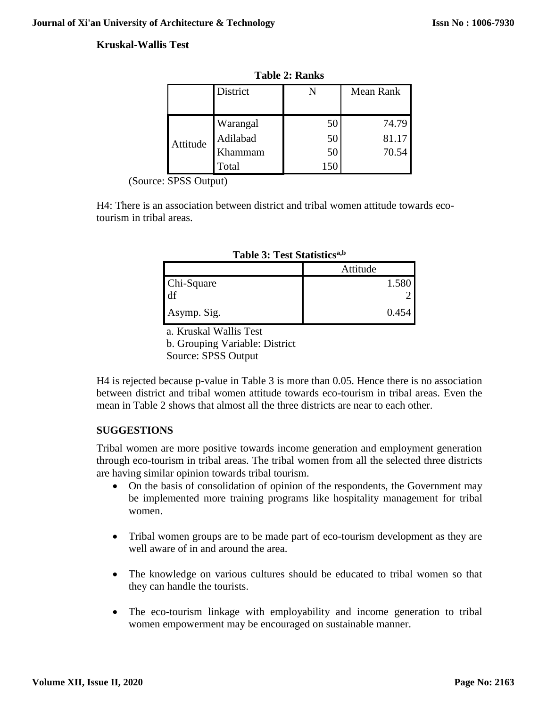### **Kruskal-Wallis Test**

|          | District |    | Mean Rank |  |
|----------|----------|----|-----------|--|
|          |          |    |           |  |
|          | Warangal | 5C | 74.79     |  |
| Attitude | Adilabad | 50 | 81.17     |  |
|          | Khammam  | 50 | 70.54     |  |
|          | Total    |    |           |  |

**Table 2: Ranks**

(Source: SPSS Output)

H4: There is an association between district and tribal women attitude towards ecotourism in tribal areas.

|                  | Attitude |  |  |  |
|------------------|----------|--|--|--|
| Chi-Square<br>df | 1.580    |  |  |  |
| Asymp. Sig.      | 0.454    |  |  |  |

| <b>Table 3: Test Statistics<sup>a,b</sup></b> |  |  |  |
|-----------------------------------------------|--|--|--|
|-----------------------------------------------|--|--|--|

a. Kruskal Wallis Test

b. Grouping Variable: District

Source: SPSS Output

H4 is rejected because p-value in Table 3 is more than 0.05. Hence there is no association between district and tribal women attitude towards eco-tourism in tribal areas. Even the mean in Table 2 shows that almost all the three districts are near to each other.

# **SUGGESTIONS**

Tribal women are more positive towards income generation and employment generation through eco-tourism in tribal areas. The tribal women from all the selected three districts are having similar opinion towards tribal tourism.

- On the basis of consolidation of opinion of the respondents, the Government may be implemented more training programs like hospitality management for tribal women.
- Tribal women groups are to be made part of eco-tourism development as they are well aware of in and around the area.
- The knowledge on various cultures should be educated to tribal women so that they can handle the tourists.
- The eco-tourism linkage with employability and income generation to tribal women empowerment may be encouraged on sustainable manner.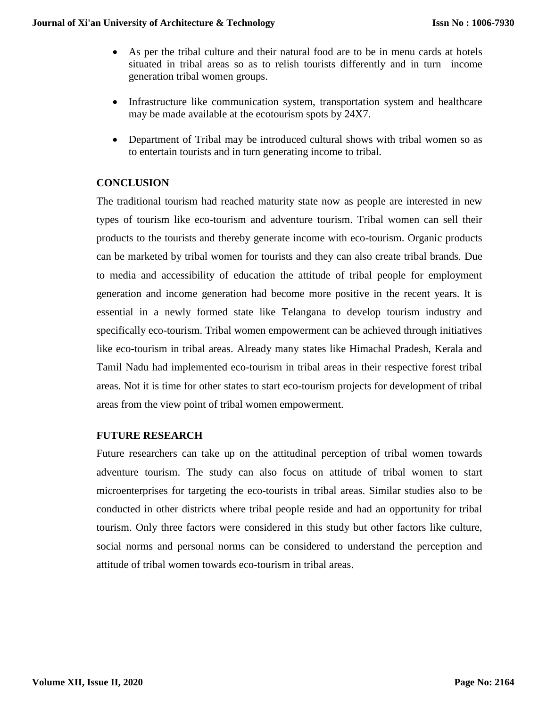- As per the tribal culture and their natural food are to be in menu cards at hotels situated in tribal areas so as to relish tourists differently and in turn income generation tribal women groups.
- Infrastructure like communication system, transportation system and healthcare may be made available at the ecotourism spots by 24X7.
- Department of Tribal may be introduced cultural shows with tribal women so as to entertain tourists and in turn generating income to tribal.

# **CONCLUSION**

The traditional tourism had reached maturity state now as people are interested in new types of tourism like eco-tourism and adventure tourism. Tribal women can sell their products to the tourists and thereby generate income with eco-tourism. Organic products can be marketed by tribal women for tourists and they can also create tribal brands. Due to media and accessibility of education the attitude of tribal people for employment generation and income generation had become more positive in the recent years. It is essential in a newly formed state like Telangana to develop tourism industry and specifically eco-tourism. Tribal women empowerment can be achieved through initiatives like eco-tourism in tribal areas. Already many states like Himachal Pradesh, Kerala and Tamil Nadu had implemented eco-tourism in tribal areas in their respective forest tribal areas. Not it is time for other states to start eco-tourism projects for development of tribal areas from the view point of tribal women empowerment.

#### **FUTURE RESEARCH**

Future researchers can take up on the attitudinal perception of tribal women towards adventure tourism. The study can also focus on attitude of tribal women to start microenterprises for targeting the eco-tourists in tribal areas. Similar studies also to be conducted in other districts where tribal people reside and had an opportunity for tribal tourism. Only three factors were considered in this study but other factors like culture, social norms and personal norms can be considered to understand the perception and attitude of tribal women towards eco-tourism in tribal areas.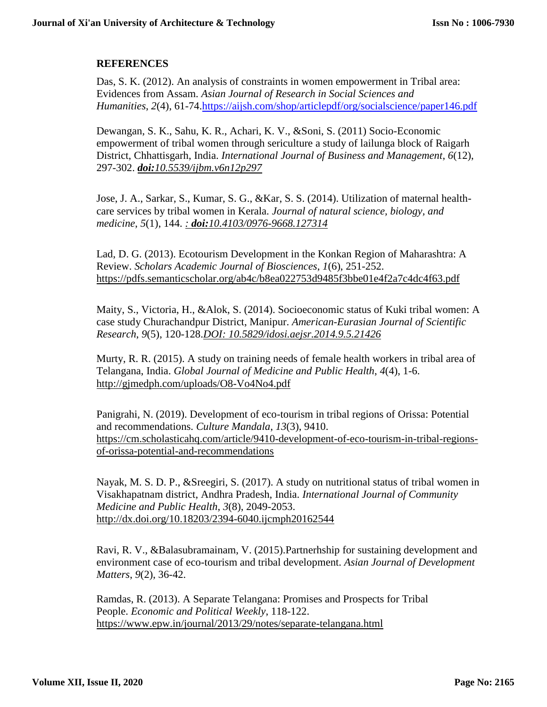### **REFERENCES**

Das, S. K. (2012). An analysis of constraints in women empowerment in Tribal area: Evidences from Assam. *Asian Journal of Research in Social Sciences and Humanities*, *2*(4), 61-74[.https://aijsh.com/shop/articlepdf/org/socialscience/paper146.pdf](https://aijsh.com/shop/articlepdf/org/socialscience/paper146.pdf)

Dewangan, S. K., Sahu, K. R., Achari, K. V., &Soni, S. (2011) Socio-Economic empowerment of tribal women through sericulture a study of lailunga block of Raigarh District, Chhattisgarh, India. *International Journal of Business and Management*, *6*(12), 297-302. *doi:[10.5539/ijbm.v6n12p297](https://doi.org/10.5539/ijbm.v6n12p297)*

Jose, J. A., Sarkar, S., Kumar, S. G., &Kar, S. S. (2014). Utilization of maternal healthcare services by tribal women in Kerala. *Journal of natural science, biology, and medicine*, *5*(1), 144. *: doi:10.4103/0976-9668.127314*

Lad, D. G. (2013). Ecotourism Development in the Konkan Region of Maharashtra: A Review. *Scholars Academic Journal of Biosciences*, *1*(6), 251-252. <https://pdfs.semanticscholar.org/ab4c/b8ea022753d9485f3bbe01e4f2a7c4dc4f63.pdf>

Maity, S., Victoria, H., &Alok, S. (2014). Socioeconomic status of Kuki tribal women: A case study Churachandpur District, Manipur. *American-Eurasian Journal of Scientific Research*, *9*(5), 120-128.*DOI: 10.5829/idosi.aejsr.2014.9.5.21426*

Murty, R. R. (2015). A study on training needs of female health workers in tribal area of Telangana, India. *Global Journal of Medicine and Public Health*, *4*(4), 1-6. <http://gjmedph.com/uploads/O8-Vo4No4.pdf>

Panigrahi, N. (2019). Development of eco-tourism in tribal regions of Orissa: Potential and recommendations. *Culture Mandala*, *13*(3), 9410. [https://cm.scholasticahq.com/article/9410-development-of-eco-tourism-in-tribal-regions](https://cm.scholasticahq.com/article/9410-development-of-eco-tourism-in-tribal-regions-of-orissa-potential-and-recommendations)[of-orissa-potential-and-recommendations](https://cm.scholasticahq.com/article/9410-development-of-eco-tourism-in-tribal-regions-of-orissa-potential-and-recommendations)

Nayak, M. S. D. P., &Sreegiri, S. (2017). A study on nutritional status of tribal women in Visakhapatnam district, Andhra Pradesh, India. *International Journal of Community Medicine and Public Health*, *3*(8), 2049-2053. <http://dx.doi.org/10.18203/2394-6040.ijcmph20162544>

Ravi, R. V., &Balasubramainam, V. (2015).Partnerhship for sustaining development and environment case of eco-tourism and tribal development. *Asian Journal of Development Matters*, *9*(2), 36-42.

Ramdas, R. (2013). A Separate Telangana: Promises and Prospects for Tribal People. *Economic and Political Weekly*, 118-122. <https://www.epw.in/journal/2013/29/notes/separate-telangana.html>